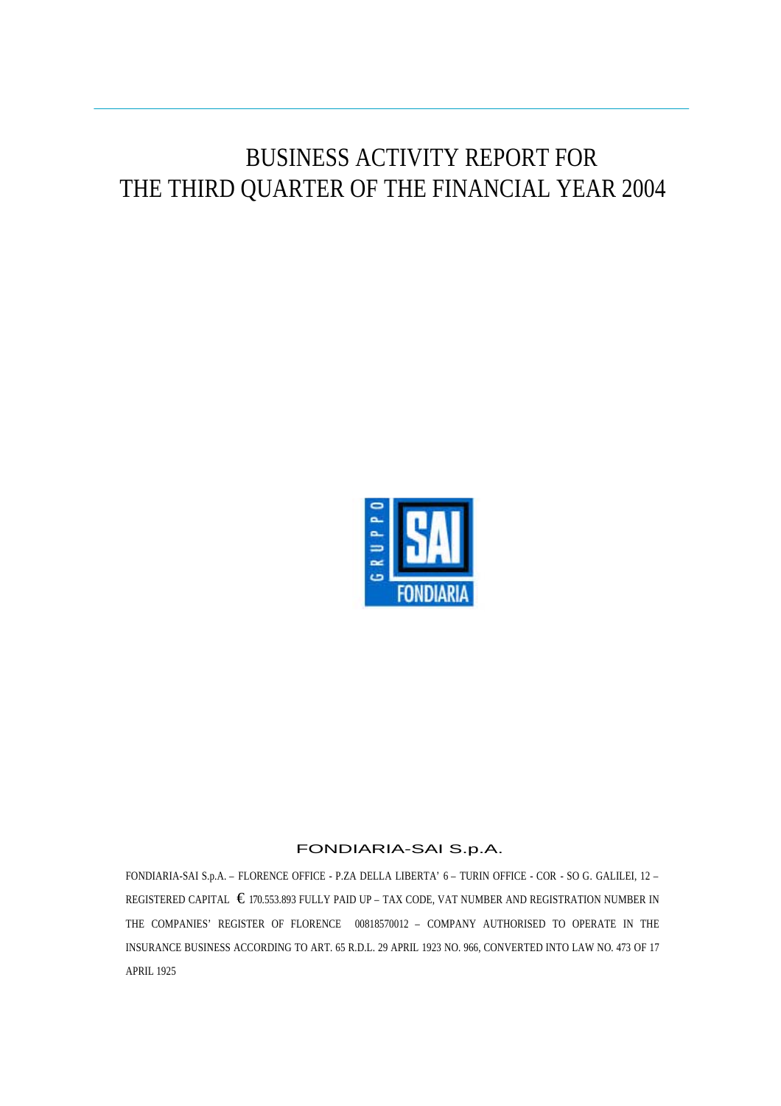# BUSINESS ACTIVITY REPORT FOR THE THIRD QUARTER OF THE FINANCIAL YEAR 2004



#### FONDIARIA-SAI S.p.A.

FONDIARIA-SAI S.p.A. – FLORENCE OFFICE - P.ZA DELLA LIBERTA' 6 – TURIN OFFICE - COR - SO G. GALILEI, 12 – REGISTERED CAPITAL  $\epsilon$  170.553.893 FULLY PAID UP – TAX CODE, VAT NUMBER AND REGISTRATION NUMBER IN THE COMPANIES' REGISTER OF FLORENCE 00818570012 – COMPANY AUTHORISED TO OPERATE IN THE INSURANCE BUSINESS ACCORDING TO ART. 65 R.D.L. 29 APRIL 1923 NO. 966, CONVERTED INTO LAW NO. 473 OF 17 APRIL 1925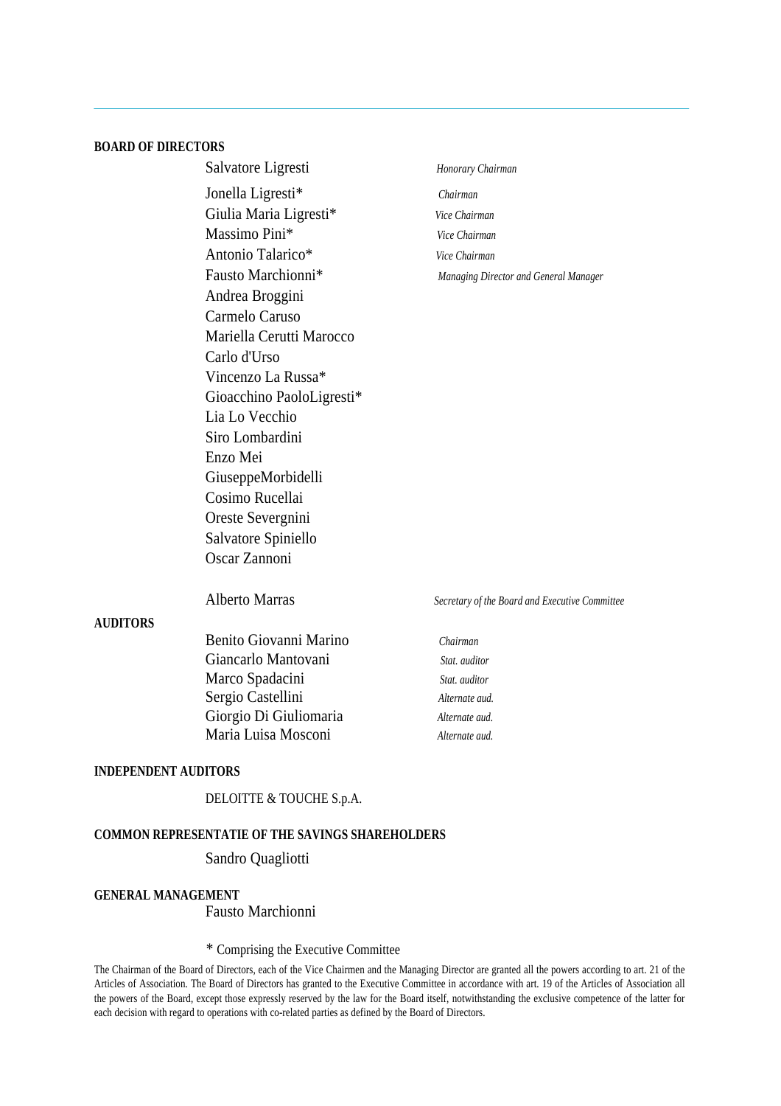#### **BOARD OF DIRECTORS**

| Salvatore Ligresti                         | Honorary Chairman                     |
|--------------------------------------------|---------------------------------------|
| Jonella Ligresti*                          | Chairman                              |
| Giulia Maria Ligresti*                     | Vice Chairman                         |
| Massimo Pini*                              | Vice Chairman                         |
| Antonio Talarico*                          | Vice Chairman                         |
| Fausto Marchionni*                         | Managing Director and General Manager |
| Andrea Broggini                            |                                       |
| Carmelo Caruso                             |                                       |
| Mariella Cerutti Marocco                   |                                       |
| Carlo d'Urso                               |                                       |
| Vincenzo La Russa*                         |                                       |
| Gioacchino PaoloLigresti*                  |                                       |
| Lia Lo Vecchio                             |                                       |
| Siro Lombardini                            |                                       |
| Enzo Mei                                   |                                       |
| GiuseppeMorbidelli                         |                                       |
| Cosimo Rucellai                            |                                       |
| Oreste Severgnini                          |                                       |
| Salvatore Spiniello                        |                                       |
| Oscar Zannoni                              |                                       |
|                                            |                                       |
| $\lambda$ 11 $\lambda$ $\lambda$ $\lambda$ |                                       |

#### **AUDITORS**

Benito Giovanni Marino *Chairman* Giancarlo Mantovani *Stat. auditor* Marco Spadacini *Stat. auditor* Sergio Castellini *Alternate aud.* Giorgio Di Giuliomaria *Alternate aud.* Maria Luisa Mosconi *Alternate aud.*

#### Alberto Marras *Secretary of the Board and Executive Committee*

#### **INDEPENDENT AUDITORS**

#### DELOITTE & TOUCHE S.p.A.

#### **COMMON REPRESENTATIE OF THE SAVINGS SHAREHOLDERS**

#### Sandro Quagliotti

#### **GENERAL MANAGEMENT**

Fausto Marchionni

#### *\** Comprising the Executive Committee

The Chairman of the Board of Directors, each of the Vice Chairmen and the Managing Director are granted all the powers according to art. 21 of the Articles of Association. The Board of Directors has granted to the Executive Committee in accordance with art. 19 of the Articles of Association all the powers of the Board, except those expressly reserved by the law for the Board itself, notwithstanding the exclusive competence of the latter for each decision with regard to operations with co-related parties as defined by the Board of Directors.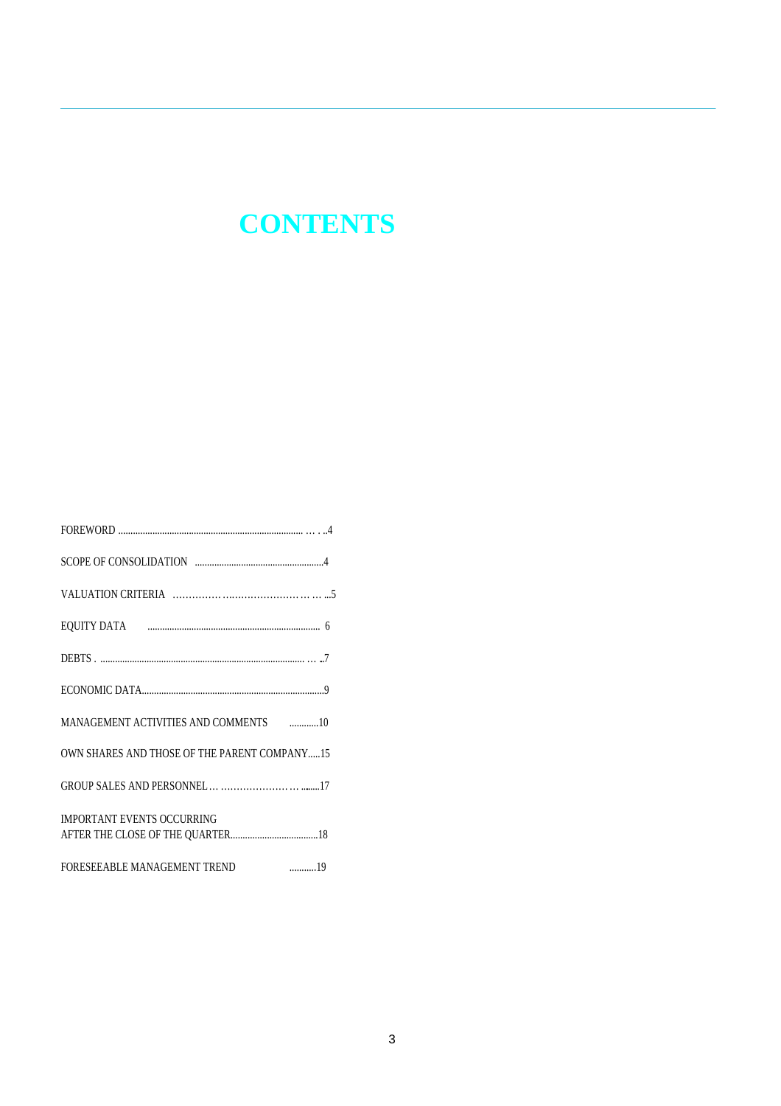# **CONTENTS**

| MANAGEMENT ACTIVITIES AND COMMENTS <b>Frame ACCIVITIES</b> |
|------------------------------------------------------------|
| OWN SHARES AND THOSE OF THE PARENT COMPANY15               |
|                                                            |
| <b>IMPORTANT EVENTS OCCURRING</b>                          |
| FORESEEABLE MANAGEMENT TREND 19                            |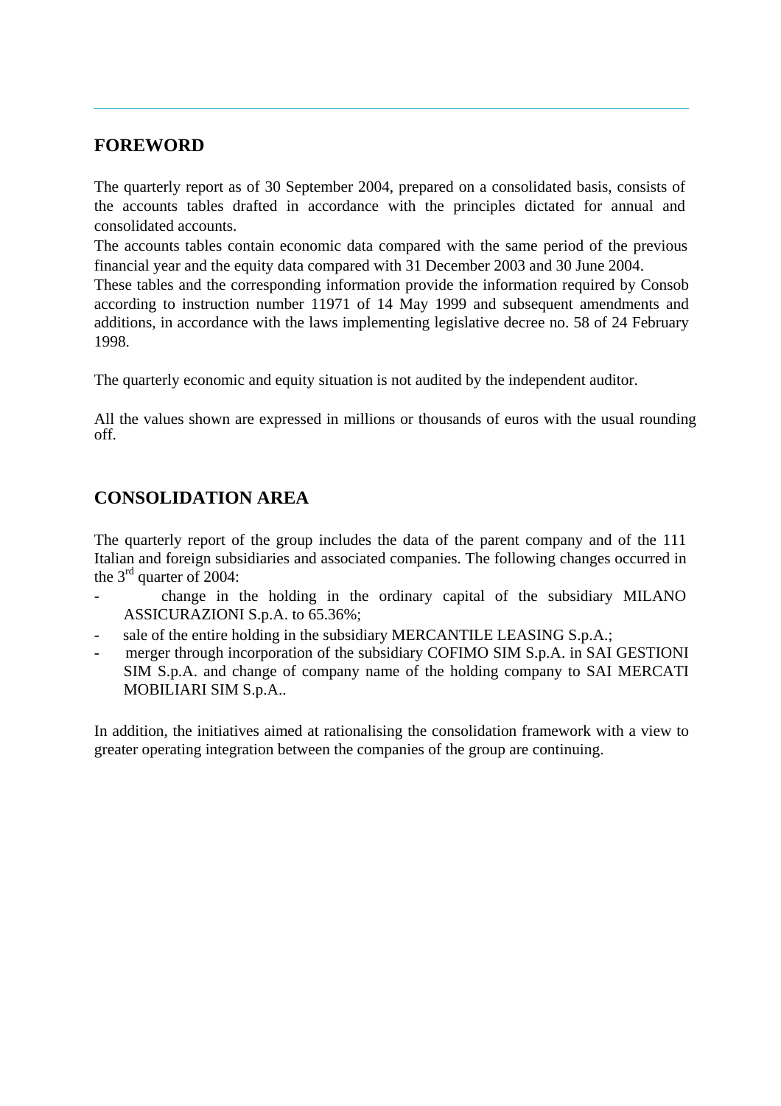## **FOREWORD**

The quarterly report as of 30 September 2004, prepared on a consolidated basis, consists of the accounts tables drafted in accordance with the principles dictated for annual and consolidated accounts.

The accounts tables contain economic data compared with the same period of the previous financial year and the equity data compared with 31 December 2003 and 30 June 2004.

These tables and the corresponding information provide the information required by Consob according to instruction number 11971 of 14 May 1999 and subsequent amendments and additions, in accordance with the laws implementing legislative decree no. 58 of 24 February 1998.

The quarterly economic and equity situation is not audited by the independent auditor.

All the values shown are expressed in millions or thousands of euros with the usual rounding off.

# **CONSOLIDATION AREA**

The quarterly report of the group includes the data of the parent company and of the 111 Italian and foreign subsidiaries and associated companies. The following changes occurred in the 3<sup>rd</sup> quarter of 2004:

- change in the holding in the ordinary capital of the subsidiary MILANO ASSICURAZIONI S.p.A. to 65.36%;
- sale of the entire holding in the subsidiary MERCANTILE LEASING S.p.A.;
- merger through incorporation of the subsidiary COFIMO SIM S.p.A. in SAI GESTIONI SIM S.p.A. and change of company name of the holding company to SAI MERCATI MOBILIARI SIM S.p.A..

In addition, the initiatives aimed at rationalising the consolidation framework with a view to greater operating integration between the companies of the group are continuing.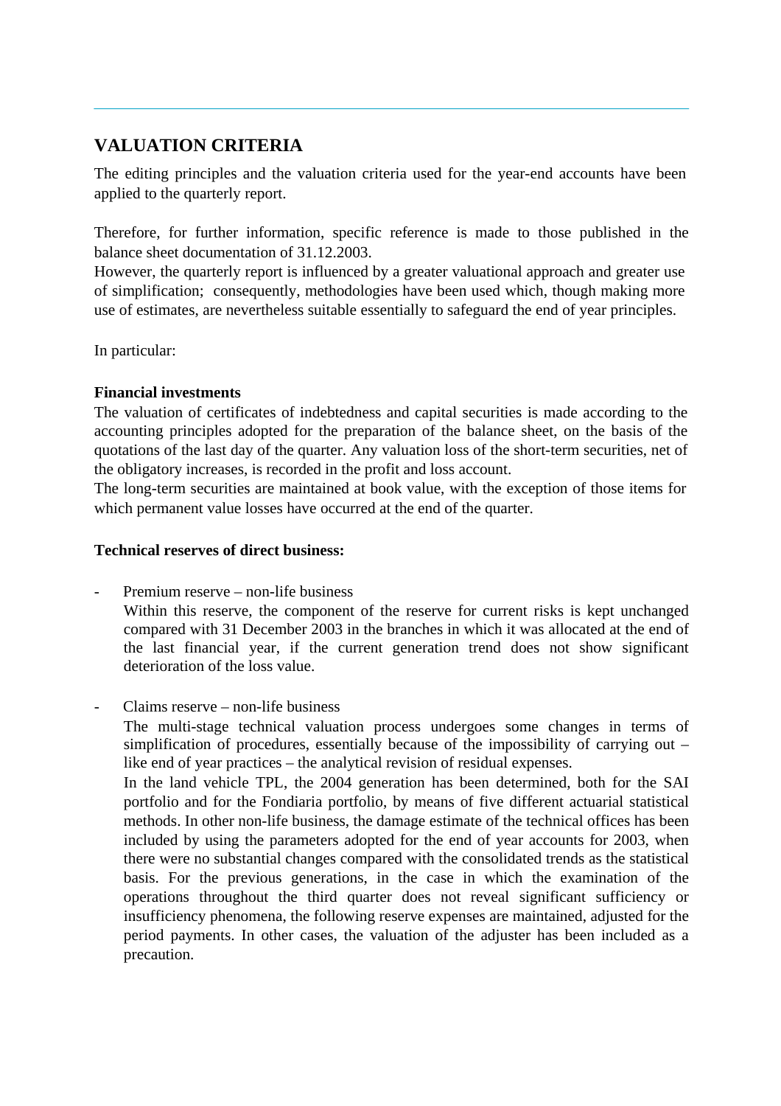# **VALUATION CRITERIA**

The editing principles and the valuation criteria used for the year-end accounts have been applied to the quarterly report.

Therefore, for further information, specific reference is made to those published in the balance sheet documentation of 31.12.2003.

However, the quarterly report is influenced by a greater valuational approach and greater use of simplification; consequently, methodologies have been used which, though making more use of estimates, are nevertheless suitable essentially to safeguard the end of year principles.

In particular:

#### **Financial investments**

The valuation of certificates of indebtedness and capital securities is made according to the accounting principles adopted for the preparation of the balance sheet, on the basis of the quotations of the last day of the quarter. Any valuation loss of the short-term securities, net of the obligatory increases, is recorded in the profit and loss account.

The long-term securities are maintained at book value, with the exception of those items for which permanent value losses have occurred at the end of the quarter.

#### **Technical reserves of direct business:**

- Premium reserve non-life business Within this reserve, the component of the reserve for current risks is kept unchanged compared with 31 December 2003 in the branches in which it was allocated at the end of the last financial year, if the current generation trend does not show significant deterioration of the loss value.
- Claims reserve non-life business

The multi-stage technical valuation process undergoes some changes in terms of simplification of procedures, essentially because of the impossibility of carrying out – like end of year practices – the analytical revision of residual expenses.

In the land vehicle TPL, the 2004 generation has been determined, both for the SAI portfolio and for the Fondiaria portfolio, by means of five different actuarial statistical methods. In other non-life business, the damage estimate of the technical offices has been included by using the parameters adopted for the end of year accounts for 2003, when there were no substantial changes compared with the consolidated trends as the statistical basis. For the previous generations, in the case in which the examination of the operations throughout the third quarter does not reveal significant sufficiency or insufficiency phenomena, the following reserve expenses are maintained, adjusted for the period payments. In other cases, the valuation of the adjuster has been included as a precaution.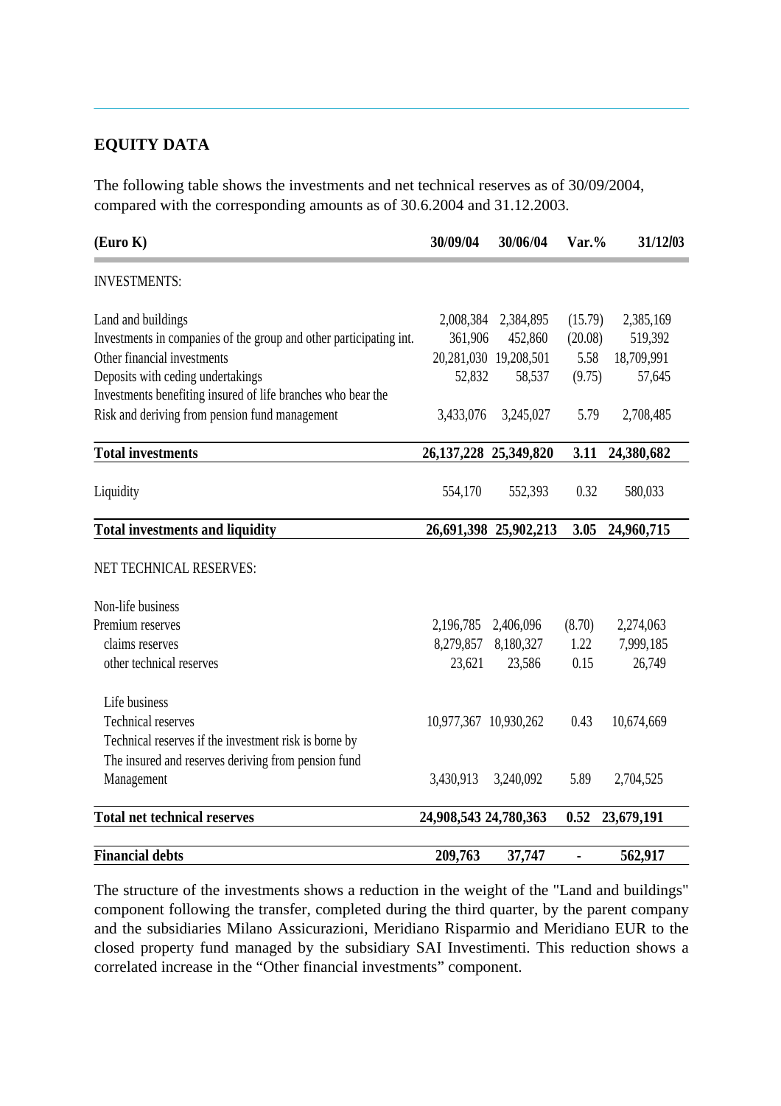## **EQUITY DATA**

The following table shows the investments and net technical reserves as of 30/09/2004, compared with the corresponding amounts as of 30.6.2004 and 31.12.2003.

| (Euro K)                                                           | 30/09/04                  | 30/06/04              | $\text{Var.}\%$ | 31/12/03   |
|--------------------------------------------------------------------|---------------------------|-----------------------|-----------------|------------|
| <b>INVESTMENTS:</b>                                                |                           |                       |                 |            |
| Land and buildings                                                 | 2,008,384                 | 2,384,895             | (15.79)         | 2,385,169  |
| Investments in companies of the group and other participating int. | 361,906                   | 452,860               | (20.08)         | 519,392    |
| Other financial investments                                        |                           | 20,281,030 19,208,501 | 5.58            | 18,709,991 |
| Deposits with ceding undertakings                                  | 52,832                    | 58,537                | (9.75)          | 57,645     |
| Investments benefiting insured of life branches who bear the       |                           |                       |                 |            |
| Risk and deriving from pension fund management                     | 3,433,076                 | 3,245,027             | 5.79            | 2,708,485  |
| <b>Total investments</b>                                           | 26, 137, 228 25, 349, 820 |                       | 3.11            | 24,380,682 |
| Liquidity                                                          | 554,170                   | 552,393               | 0.32            | 580,033    |
| <b>Total investments and liquidity</b>                             |                           | 26,691,398 25,902,213 | 3.05            | 24,960,715 |
| NET TECHNICAL RESERVES:                                            |                           |                       |                 |            |
| Non-life business                                                  |                           |                       |                 |            |
| Premium reserves                                                   | 2,196,785                 | 2,406,096             | (8.70)          | 2,274,063  |
| claims reserves                                                    | 8,279,857                 | 8,180,327             | 1.22            | 7,999,185  |
| other technical reserves                                           | 23,621                    | 23,586                | 0.15            | 26,749     |
| Life business                                                      |                           |                       |                 |            |
| <b>Technical reserves</b>                                          | 10,977,367 10,930,262     |                       | 0.43            | 10,674,669 |
| Technical reserves if the investment risk is borne by              |                           |                       |                 |            |
| The insured and reserves deriving from pension fund                |                           |                       |                 |            |
| Management                                                         | 3,430,913                 | 3,240,092             | 5.89            | 2,704,525  |
| <b>Total net technical reserves</b>                                | 24,908,543 24,780,363     |                       | 0.52            | 23,679,191 |
|                                                                    |                           |                       |                 |            |
| <b>Financial debts</b>                                             | 209,763                   | 37,747                | ÷,              | 562,917    |

The structure of the investments shows a reduction in the weight of the "Land and buildings" component following the transfer, completed during the third quarter, by the parent company and the subsidiaries Milano Assicurazioni, Meridiano Risparmio and Meridiano EUR to the closed property fund managed by the subsidiary SAI Investimenti. This reduction shows a correlated increase in the "Other financial investments" component.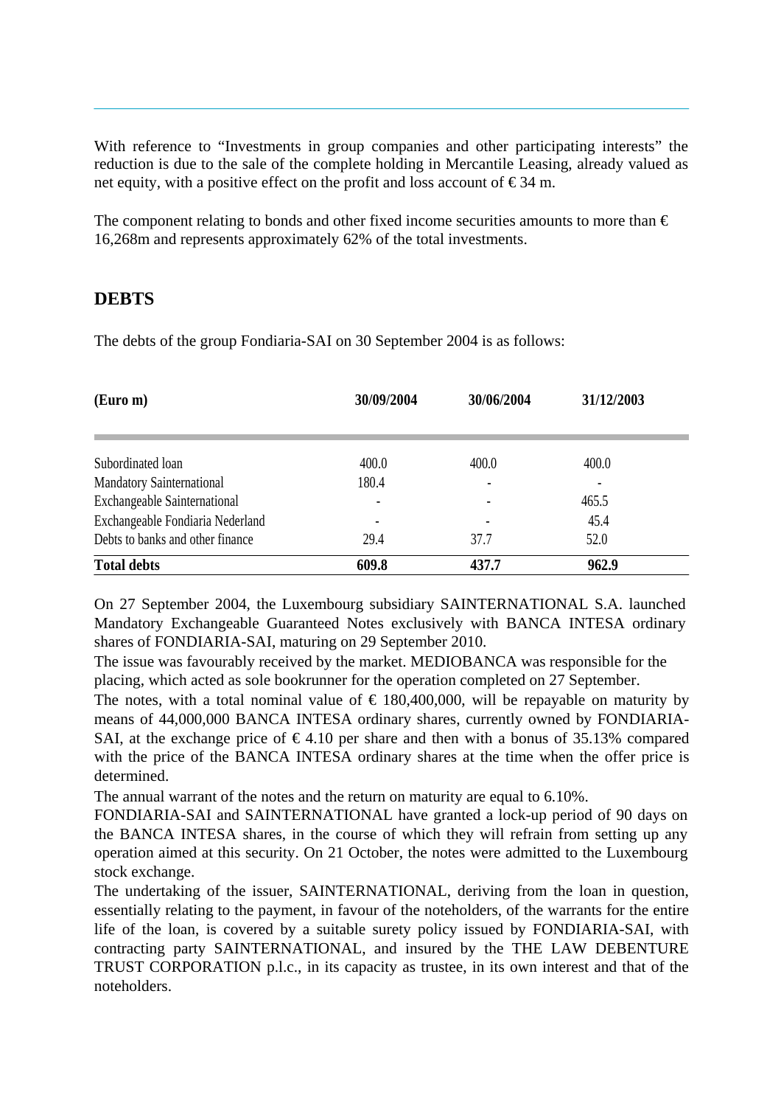With reference to "Investments in group companies and other participating interests" the reduction is due to the sale of the complete holding in Mercantile Leasing, already valued as net equity, with a positive effect on the profit and loss account of  $\epsilon$ 34 m.

The component relating to bonds and other fixed income securities amounts to more than  $\epsilon$ 16,268m and represents approximately 62% of the total investments.

#### **DEBTS**

The debts of the group Fondiaria-SAI on 30 September 2004 is as follows:

| (Euro m)                            | 30/09/2004               | 30/06/2004 | 31/12/2003 |
|-------------------------------------|--------------------------|------------|------------|
|                                     |                          |            |            |
| Subordinated loan                   | 400.0                    | 400.0      | 400.0      |
| <b>Mandatory Sainternational</b>    | 180.4                    |            |            |
| <b>Exchangeable Sainternational</b> |                          |            | 465.5      |
| Exchangeable Fondiaria Nederland    | $\overline{\phantom{0}}$ |            | 45.4       |
| Debts to banks and other finance    | 29.4                     | 37.7       | 52.0       |
| <b>Total debts</b>                  | 609.8                    | 437.7      | 962.9      |

On 27 September 2004, the Luxembourg subsidiary SAINTERNATIONAL S.A. launched Mandatory Exchangeable Guaranteed Notes exclusively with BANCA INTESA ordinary shares of FONDIARIA-SAI, maturing on 29 September 2010.

The issue was favourably received by the market. MEDIOBANCA was responsible for the placing, which acted as sole bookrunner for the operation completed on 27 September.

The notes, with a total nominal value of  $\epsilon$  180,400,000, will be repayable on maturity by means of 44,000,000 BANCA INTESA ordinary shares, currently owned by FONDIARIA-SAI, at the exchange price of  $\epsilon$ 4.10 per share and then with a bonus of 35.13% compared with the price of the BANCA INTESA ordinary shares at the time when the offer price is determined.

The annual warrant of the notes and the return on maturity are equal to 6.10%.

FONDIARIA-SAI and SAINTERNATIONAL have granted a lock-up period of 90 days on the BANCA INTESA shares, in the course of which they will refrain from setting up any operation aimed at this security. On 21 October, the notes were admitted to the Luxembourg stock exchange.

The undertaking of the issuer, SAINTERNATIONAL, deriving from the loan in question, essentially relating to the payment, in favour of the noteholders, of the warrants for the entire life of the loan, is covered by a suitable surety policy issued by FONDIARIA-SAI, with contracting party SAINTERNATIONAL, and insured by the THE LAW DEBENTURE TRUST CORPORATION p.l.c., in its capacity as trustee, in its own interest and that of the noteholders.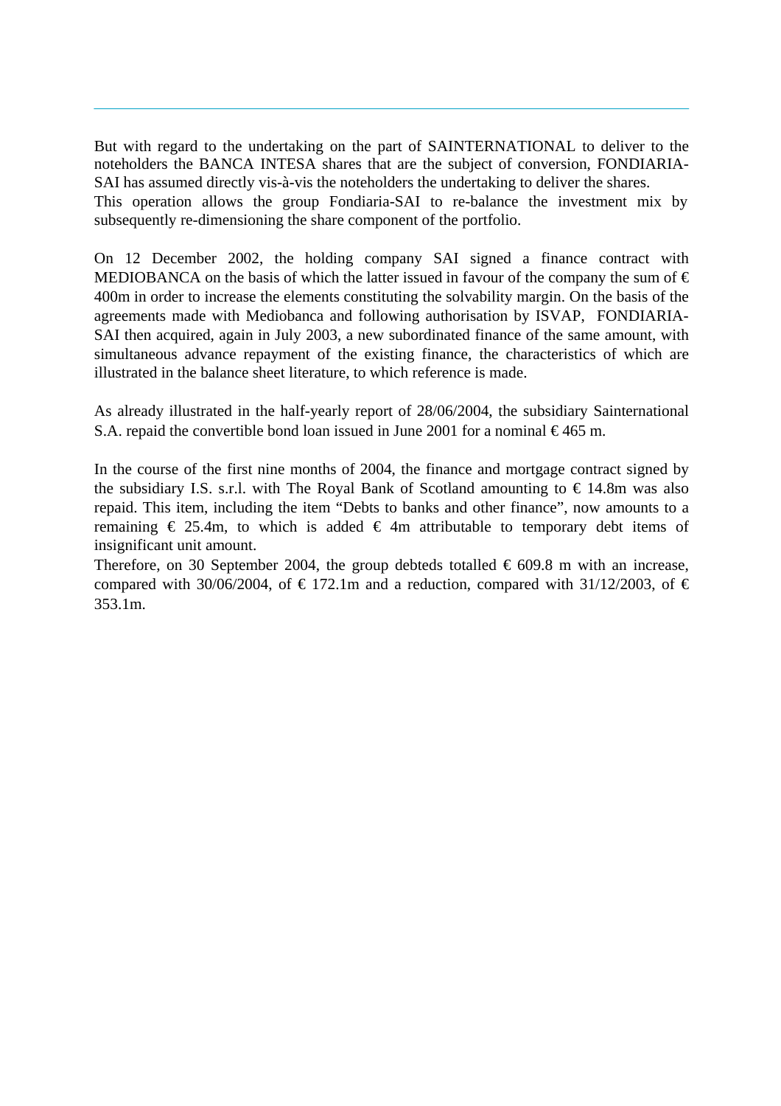But with regard to the undertaking on the part of SAINTERNATIONAL to deliver to the noteholders the BANCA INTESA shares that are the subject of conversion, FONDIARIA-SAI has assumed directly vis-à-vis the noteholders the undertaking to deliver the shares. This operation allows the group Fondiaria-SAI to re-balance the investment mix by subsequently re-dimensioning the share component of the portfolio.

On 12 December 2002, the holding company SAI signed a finance contract with MEDIOBANCA on the basis of which the latter issued in favour of the company the sum of  $\epsilon$ 400m in order to increase the elements constituting the solvability margin. On the basis of the agreements made with Mediobanca and following authorisation by ISVAP, FONDIARIA-SAI then acquired, again in July 2003, a new subordinated finance of the same amount, with simultaneous advance repayment of the existing finance, the characteristics of which are illustrated in the balance sheet literature, to which reference is made.

As already illustrated in the half-yearly report of 28/06/2004, the subsidiary Sainternational S.A. repaid the convertible bond loan issued in June 2001 for a nominal  $\epsilon$ 465 m.

In the course of the first nine months of 2004, the finance and mortgage contract signed by the subsidiary I.S. s.r.l. with The Royal Bank of Scotland amounting to  $\epsilon$  14.8m was also repaid. This item, including the item "Debts to banks and other finance", now amounts to a remaining  $\epsilon$  25.4m, to which is added  $\epsilon$  4m attributable to temporary debt items of insignificant unit amount.

Therefore, on 30 September 2004, the group debteds totalled  $\epsilon$  609.8 m with an increase, compared with 30/06/2004, of  $\in$  172.1m and a reduction, compared with 31/12/2003, of  $\in$ 353.1m.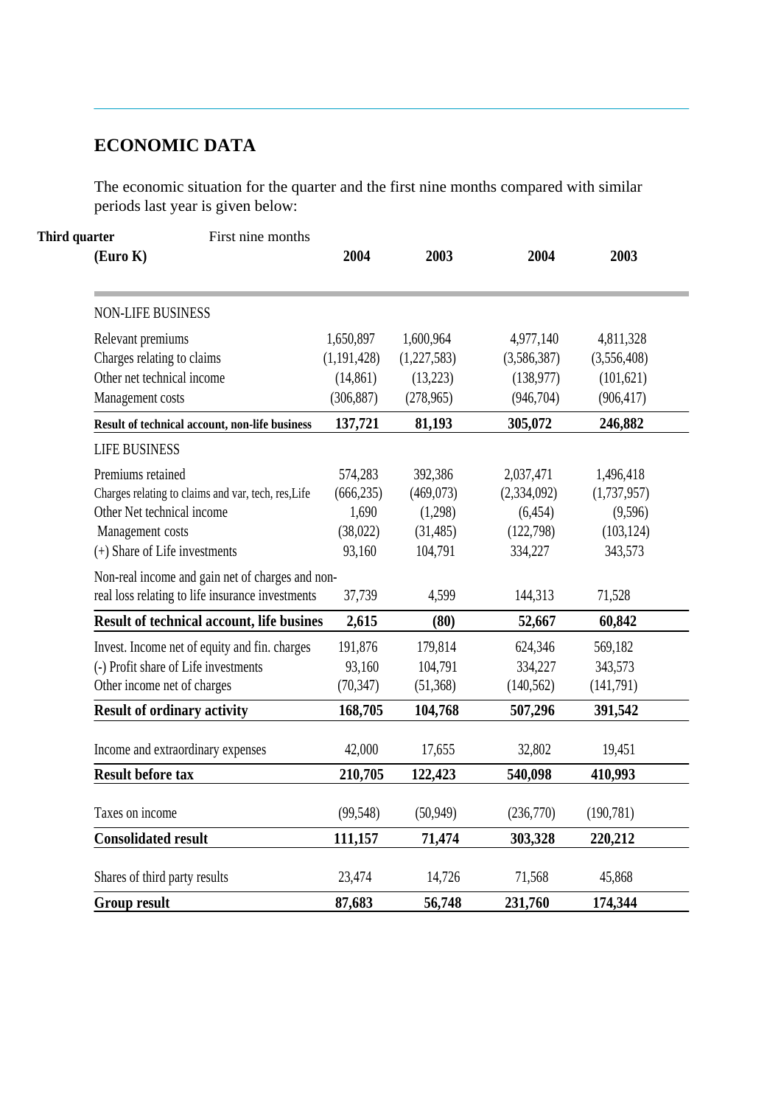# **ECONOMIC DATA**

The economic situation for the quarter and the first nine months compared with similar periods last year is given below:

| Third quarter<br>First nine months<br>(Euro K)      | 2004          | 2003        | 2004        | 2003        |
|-----------------------------------------------------|---------------|-------------|-------------|-------------|
|                                                     |               |             |             |             |
| <b>NON-LIFE BUSINESS</b>                            |               |             |             |             |
| Relevant premiums                                   | 1,650,897     | 1,600,964   | 4,977,140   | 4,811,328   |
| Charges relating to claims                          | (1, 191, 428) | (1,227,583) | (3,586,387) | (3,556,408) |
| Other net technical income                          | (14, 861)     | (13,223)    | (138, 977)  | (101, 621)  |
| Management costs                                    | (306, 887)    | (278,965)   | (946, 704)  | (906, 417)  |
| Result of technical account, non-life business      | 137,721       | 81,193      | 305,072     | 246,882     |
| <b>LIFE BUSINESS</b>                                |               |             |             |             |
| Premiums retained                                   | 574,283       | 392,386     | 2,037,471   | 1,496,418   |
| Charges relating to claims and var, tech, res, Life | (666, 235)    | (469,073)   | (2,334,092) | (1,737,957) |
| Other Net technical income                          | 1,690         | (1,298)     | (6, 454)    | (9,596)     |
| Management costs                                    | (38,022)      | (31, 485)   | (122, 798)  | (103, 124)  |
| (+) Share of Life investments                       | 93,160        | 104,791     | 334,227     | 343,573     |
| Non-real income and gain net of charges and non-    |               |             |             |             |
| real loss relating to life insurance investments    | 37,739        | 4,599       | 144,313     | 71,528      |
| Result of technical account, life busines           | 2,615         | (80)        | 52,667      | 60,842      |
| Invest. Income net of equity and fin. charges       | 191,876       | 179,814     | 624,346     | 569,182     |
| (-) Profit share of Life investments                | 93,160        | 104,791     | 334,227     | 343,573     |
| Other income net of charges                         | (70, 347)     | (51, 368)   | (140, 562)  | (141,791)   |
| <b>Result of ordinary activity</b>                  | 168,705       | 104,768     | 507,296     | 391,542     |
| Income and extraordinary expenses                   | 42,000        | 17,655      | 32,802      | 19,451      |
| <b>Result before tax</b>                            | 210,705       | 122,423     | 540,098     | 410,993     |
| Taxes on income                                     | (99, 548)     | (50, 949)   | (236,770)   | (190, 781)  |
| <b>Consolidated result</b>                          | 111,157       | 71,474      | 303,328     | 220,212     |
| Shares of third party results                       | 23,474        | 14,726      | 71,568      | 45,868      |
| <b>Group result</b>                                 | 87,683        | 56,748      | 231,760     | 174,344     |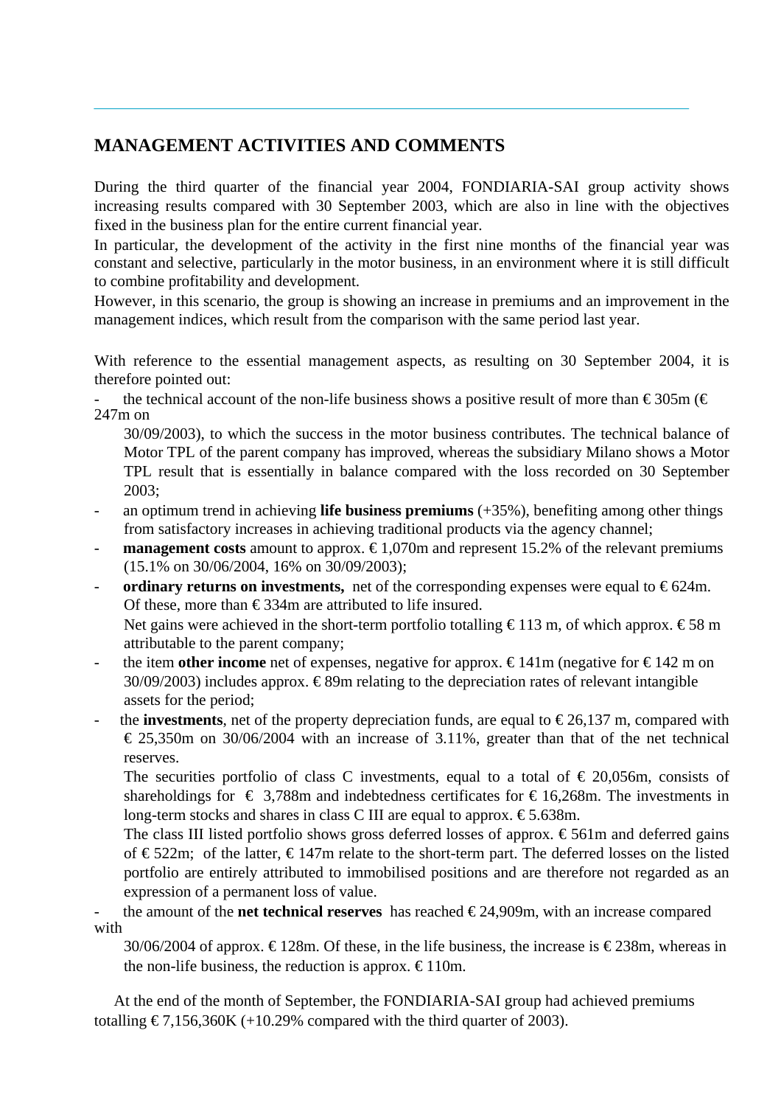# **MANAGEMENT ACTIVITIES AND COMMENTS**

During the third quarter of the financial year 2004, FONDIARIA-SAI group activity shows increasing results compared with 30 September 2003, which are also in line with the objectives fixed in the business plan for the entire current financial year.

In particular, the development of the activity in the first nine months of the financial year was constant and selective, particularly in the motor business, in an environment where it is still difficult to combine profitability and development.

However, in this scenario, the group is showing an increase in premiums and an improvement in the management indices, which result from the comparison with the same period last year.

With reference to the essential management aspects, as resulting on 30 September 2004, it is therefore pointed out:

the technical account of the non-life business shows a positive result of more than  $\epsilon$  305m ( $\epsilon$ ) 247m on

30/09/2003), to which the success in the motor business contributes. The technical balance of Motor TPL of the parent company has improved, whereas the subsidiary Milano shows a Motor TPL result that is essentially in balance compared with the loss recorded on 30 September 2003;

- an optimum trend in achieving **life business premiums** (+35%), benefiting among other things from satisfactory increases in achieving traditional products via the agency channel;
- **- management costs** amount to approx.  $\epsilon$ 1,070m and represent 15.2% of the relevant premiums (15.1% on 30/06/2004, 16% on 30/09/2003);
- **ordinary returns on investments,** net of the corresponding expenses were equal to  $\epsilon$ 624m. Of these, more than  $\epsilon$ 334m are attributed to life insured.

Net gains were achieved in the short-term portfolio totalling  $\epsilon$ 113 m, of which approx.  $\epsilon$ 58 m attributable to the parent company;

- the item **other income** net of expenses, negative for approx.  $\epsilon$ 141m (negative for  $\epsilon$ 142 m on 30/09/2003) includes approx.  $\epsilon$ 89m relating to the depreciation rates of relevant intangible assets for the period;
- the **investments**, net of the property depreciation funds, are equal to  $\epsilon$ 26,137 m, compared with  $\epsilon$  25,350m on 30/06/2004 with an increase of 3.11%, greater than that of the net technical reserves.

The securities portfolio of class C investments, equal to a total of  $\epsilon$  20,056m, consists of shareholdings for  $\epsilon$  3,788m and indebtedness certificates for  $\epsilon$ 16,268m. The investments in long-term stocks and shares in class C III are equal to approx.  $\epsilon$ 5.638m.

The class III listed portfolio shows gross deferred losses of approx.  $\epsilon$ 561m and deferred gains of €522m; of the latter, €147m relate to the short-term part. The deferred losses on the listed portfolio are entirely attributed to immobilised positions and are therefore not regarded as an expression of a permanent loss of value.

the amount of the **net technical reserves** has reached  $\epsilon$ 24,909m, with an increase compared with

30/06/2004 of approx.  $\epsilon$ 128m. Of these, in the life business, the increase is  $\epsilon$ 238m, whereas in the non-life business, the reduction is approx.  $\epsilon$  110m.

 At the end of the month of September, the FONDIARIA-SAI group had achieved premiums totalling  $\epsilon$ 7,156,360K (+10.29% compared with the third quarter of 2003).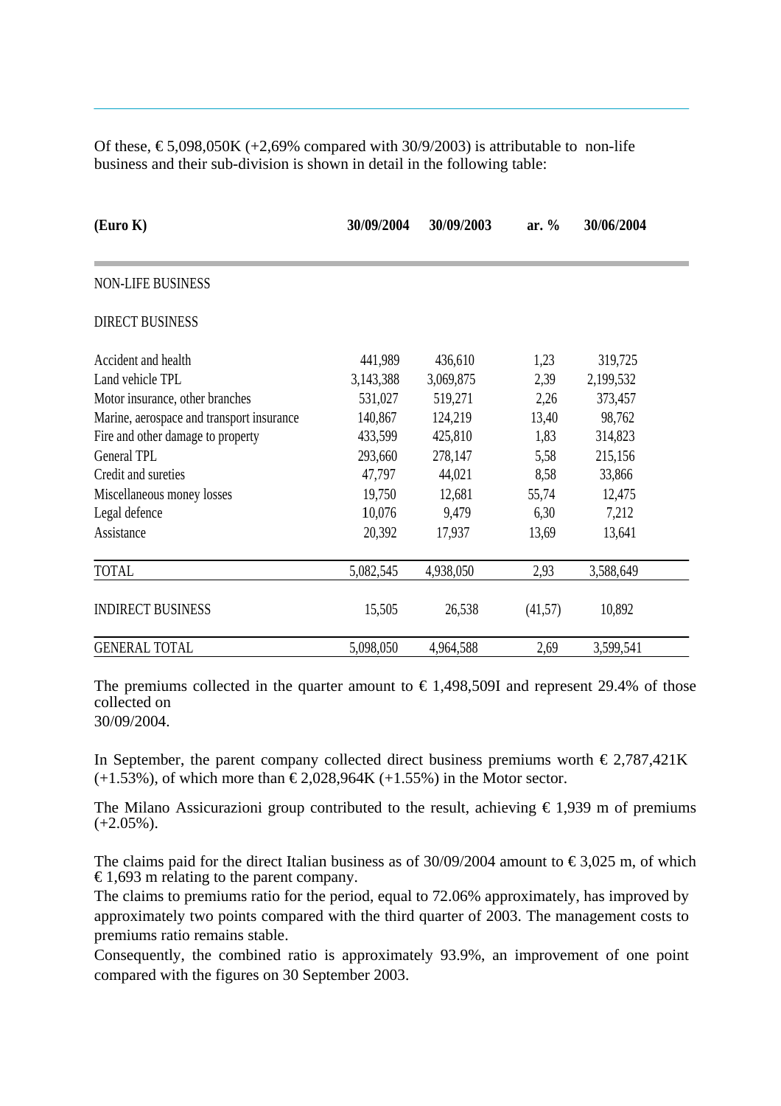Of these,  $\text{\textsterling}5,098,050K$  (+2,69% compared with 30/9/2003) is attributable to non-life business and their sub-division is shown in detail in the following table:

| (Euro K)                                  | 30/09/2004 | 30/09/2003 | ar. $%$ | 30/06/2004 |
|-------------------------------------------|------------|------------|---------|------------|
| <b>NON-LIFE BUSINESS</b>                  |            |            |         |            |
| <b>DIRECT BUSINESS</b>                    |            |            |         |            |
| Accident and health                       | 441,989    | 436,610    | 1,23    | 319,725    |
| Land vehicle TPL                          | 3,143,388  | 3,069,875  | 2,39    | 2,199,532  |
| Motor insurance, other branches           | 531,027    | 519,271    | 2,26    | 373,457    |
| Marine, aerospace and transport insurance | 140,867    | 124,219    | 13,40   | 98,762     |
| Fire and other damage to property         | 433,599    | 425,810    | 1,83    | 314,823    |
| General TPL                               | 293,660    | 278,147    | 5,58    | 215,156    |
| Credit and sureties                       | 47,797     | 44,021     | 8,58    | 33,866     |
| Miscellaneous money losses                | 19,750     | 12,681     | 55,74   | 12,475     |
| Legal defence                             | 10,076     | 9,479      | 6,30    | 7,212      |
| Assistance                                | 20,392     | 17,937     | 13,69   | 13,641     |
| <b>TOTAL</b>                              | 5,082,545  | 4,938,050  | 2,93    | 3,588,649  |
| <b>INDIRECT BUSINESS</b>                  | 15,505     | 26,538     | (41,57) | 10,892     |
| <b>GENERAL TOTAL</b>                      | 5,098,050  | 4,964,588  | 2,69    | 3,599,541  |

The premiums collected in the quarter amount to  $\epsilon$  1,498,509I and represent 29.4% of those collected on 30/09/2004.

In September, the parent company collected direct business premiums worth  $\epsilon$ 2,787,421K  $(+1.53%)$ , of which more than  $\text{\textsterling}2,028,964K (+1.55%)$  in the Motor sector.

The Milano Assicurazioni group contributed to the result, achieving  $\epsilon$  1,939 m of premiums  $(+2.05\%)$ .

The claims paid for the direct Italian business as of 30/09/2004 amount to  $\epsilon$ 3,025 m, of which € 1,693 m relating to the parent company.

The claims to premiums ratio for the period, equal to 72.06% approximately, has improved by approximately two points compared with the third quarter of 2003. The management costs to premiums ratio remains stable.

Consequently, the combined ratio is approximately 93.9%, an improvement of one point compared with the figures on 30 September 2003.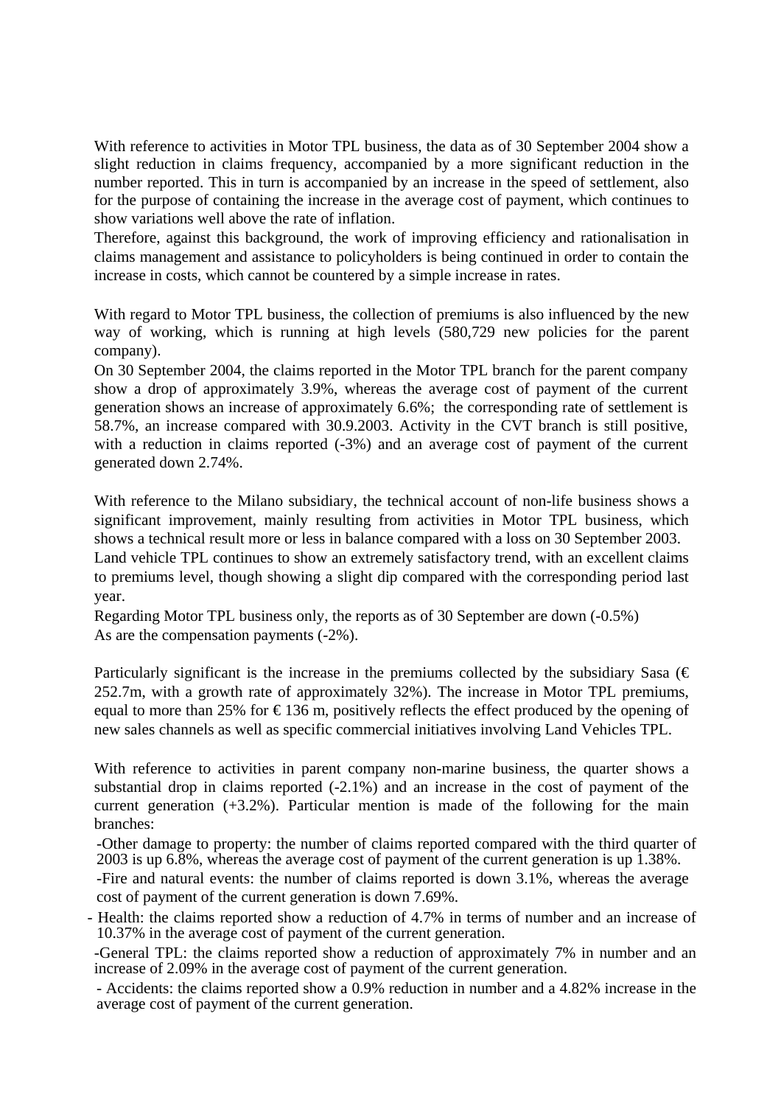With reference to activities in Motor TPL business, the data as of 30 September 2004 show a slight reduction in claims frequency, accompanied by a more significant reduction in the number reported. This in turn is accompanied by an increase in the speed of settlement, also for the purpose of containing the increase in the average cost of payment, which continues to show variations well above the rate of inflation.

Therefore, against this background, the work of improving efficiency and rationalisation in claims management and assistance to policyholders is being continued in order to contain the increase in costs, which cannot be countered by a simple increase in rates.

With regard to Motor TPL business, the collection of premiums is also influenced by the new way of working, which is running at high levels (580,729 new policies for the parent company).

On 30 September 2004, the claims reported in the Motor TPL branch for the parent company show a drop of approximately 3.9%, whereas the average cost of payment of the current generation shows an increase of approximately 6.6%; the corresponding rate of settlement is 58.7%, an increase compared with 30.9.2003. Activity in the CVT branch is still positive, with a reduction in claims reported  $(-3%)$  and an average cost of payment of the current generated down 2.74%.

With reference to the Milano subsidiary, the technical account of non-life business shows a significant improvement, mainly resulting from activities in Motor TPL business, which shows a technical result more or less in balance compared with a loss on 30 September 2003. Land vehicle TPL continues to show an extremely satisfactory trend, with an excellent claims to premiums level, though showing a slight dip compared with the corresponding period last year.

Regarding Motor TPL business only, the reports as of 30 September are down (-0.5%) As are the compensation payments (-2%).

Particularly significant is the increase in the premiums collected by the subsidiary Sasa ( $\epsilon$ ) 252.7m, with a growth rate of approximately 32%). The increase in Motor TPL premiums, equal to more than 25% for  $\epsilon$ 136 m, positively reflects the effect produced by the opening of new sales channels as well as specific commercial initiatives involving Land Vehicles TPL.

With reference to activities in parent company non-marine business, the quarter shows a substantial drop in claims reported (-2.1%) and an increase in the cost of payment of the current generation  $(+3.2\%)$ . Particular mention is made of the following for the main branches:

-Other damage to property: the number of claims reported compared with the third quarter of 2003 is up 6.8%, whereas the average cost of payment of the current generation is up 1.38%.

-Fire and natural events: the number of claims reported is down 3.1%, whereas the average cost of payment of the current generation is down 7.69%.

- Health: the claims reported show a reduction of 4.7% in terms of number and an increase of 10.37% in the average cost of payment of the current generation.

-General TPL: the claims reported show a reduction of approximately 7% in number and an increase of 2.09% in the average cost of payment of the current generation.

- Accidents: the claims reported show a 0.9% reduction in number and a 4.82% increase in the average cost of payment of the current generation.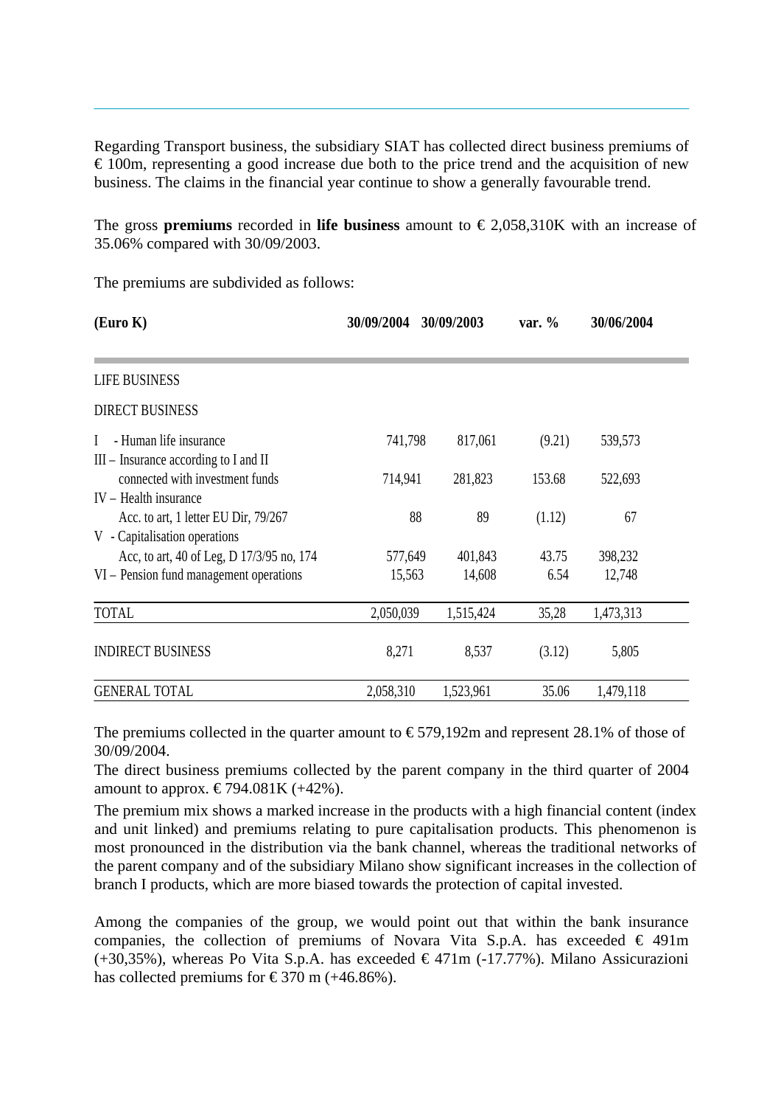Regarding Transport business, the subsidiary SIAT has collected direct business premiums of  $\epsilon$  100m, representing a good increase due both to the price trend and the acquisition of new business. The claims in the financial year continue to show a generally favourable trend.

The gross **premiums** recorded in **life business** amount to  $\epsilon$  2,058,310K with an increase of 35.06% compared with 30/09/2003.

The premiums are subdivided as follows:

| (Euro K)                                                                             | 30/09/2004        | 30/09/2003        | var. $%$      | 30/06/2004        |
|--------------------------------------------------------------------------------------|-------------------|-------------------|---------------|-------------------|
|                                                                                      |                   |                   |               |                   |
| <b>LIFE BUSINESS</b>                                                                 |                   |                   |               |                   |
| <b>DIRECT BUSINESS</b>                                                               |                   |                   |               |                   |
| - Human life insurance<br>$\mathbf{I}$<br>$III$ – Insurance according to I and II    | 741,798           | 817,061           | (9.21)        | 539,573           |
| connected with investment funds<br>$IV - Health insurance$                           | 714,941           | 281,823           | 153.68        | 522,693           |
| Acc. to art, 1 letter EU Dir, 79/267<br>V - Capitalisation operations                | 88                | 89                | (1.12)        | 67                |
| Acc, to art, 40 of Leg, D 17/3/95 no, 174<br>VI – Pension fund management operations | 577,649<br>15,563 | 401,843<br>14,608 | 43.75<br>6.54 | 398,232<br>12,748 |
| <b>TOTAL</b>                                                                         | 2,050,039         | 1,515,424         | 35,28         | 1,473,313         |
| <b>INDIRECT BUSINESS</b>                                                             | 8,271             | 8,537             | (3.12)        | 5,805             |
| <b>GENERAL TOTAL</b>                                                                 | 2,058,310         | 1,523,961         | 35.06         | 1,479,118         |

The premiums collected in the quarter amount to  $\epsilon$ 579,192m and represent 28.1% of those of 30/09/2004.

The direct business premiums collected by the parent company in the third quarter of 2004 amount to approx. €794.081K  $(+42%)$ .

The premium mix shows a marked increase in the products with a high financial content (index and unit linked) and premiums relating to pure capitalisation products. This phenomenon is most pronounced in the distribution via the bank channel, whereas the traditional networks of the parent company and of the subsidiary Milano show significant increases in the collection of branch I products, which are more biased towards the protection of capital invested.

Among the companies of the group, we would point out that within the bank insurance companies, the collection of premiums of Novara Vita S.p.A. has exceeded  $\in$  491m  $(+30,35%)$ , whereas Po Vita S.p.A. has exceeded  $\epsilon$ 471m (-17.77%). Milano Assicurazioni has collected premiums for  $\text{\textsterling}370$  m (+46.86%).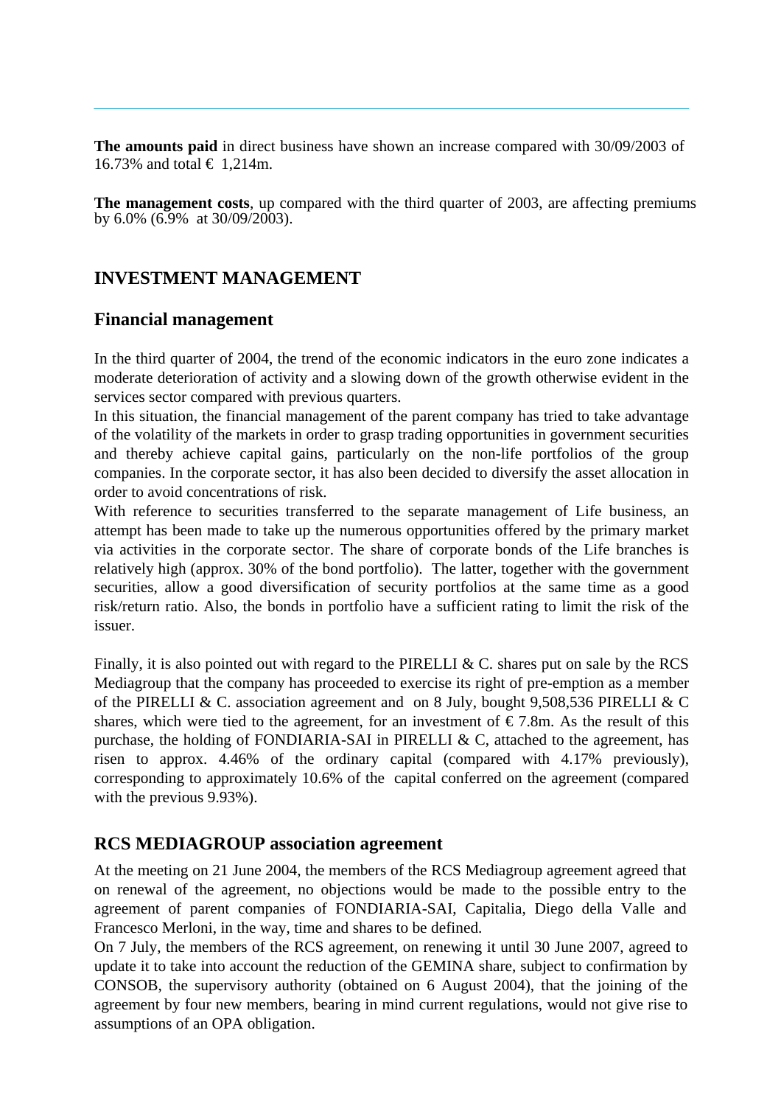**The amounts paid** in direct business have shown an increase compared with 30/09/2003 of 16.73% and total € 1,214m.

**The management costs**, up compared with the third quarter of 2003, are affecting premiums by 6.0% (6.9% at 30/09/2003).

## **INVESTMENT MANAGEMENT**

#### **Financial management**

In the third quarter of 2004, the trend of the economic indicators in the euro zone indicates a moderate deterioration of activity and a slowing down of the growth otherwise evident in the services sector compared with previous quarters.

In this situation, the financial management of the parent company has tried to take advantage of the volatility of the markets in order to grasp trading opportunities in government securities and thereby achieve capital gains, particularly on the non-life portfolios of the group companies. In the corporate sector, it has also been decided to diversify the asset allocation in order to avoid concentrations of risk.

With reference to securities transferred to the separate management of Life business, an attempt has been made to take up the numerous opportunities offered by the primary market via activities in the corporate sector. The share of corporate bonds of the Life branches is relatively high (approx. 30% of the bond portfolio). The latter, together with the government securities, allow a good diversification of security portfolios at the same time as a good risk/return ratio. Also, the bonds in portfolio have a sufficient rating to limit the risk of the issuer.

Finally, it is also pointed out with regard to the PIRELLI & C. shares put on sale by the RCS Mediagroup that the company has proceeded to exercise its right of pre-emption as a member of the PIRELLI & C. association agreement and on 8 July, bought 9,508,536 PIRELLI & C shares, which were tied to the agreement, for an investment of  $\epsilon$ 7.8m. As the result of this purchase, the holding of FONDIARIA-SAI in PIRELLI  $\&$  C, attached to the agreement, has risen to approx. 4.46% of the ordinary capital (compared with 4.17% previously), corresponding to approximately 10.6% of the capital conferred on the agreement (compared with the previous 9.93%).

### **RCS MEDIAGROUP association agreement**

At the meeting on 21 June 2004, the members of the RCS Mediagroup agreement agreed that on renewal of the agreement, no objections would be made to the possible entry to the agreement of parent companies of FONDIARIA-SAI, Capitalia, Diego della Valle and Francesco Merloni, in the way, time and shares to be defined.

On 7 July, the members of the RCS agreement, on renewing it until 30 June 2007, agreed to update it to take into account the reduction of the GEMINA share, subject to confirmation by CONSOB, the supervisory authority (obtained on 6 August 2004), that the joining of the agreement by four new members, bearing in mind current regulations, would not give rise to assumptions of an OPA obligation.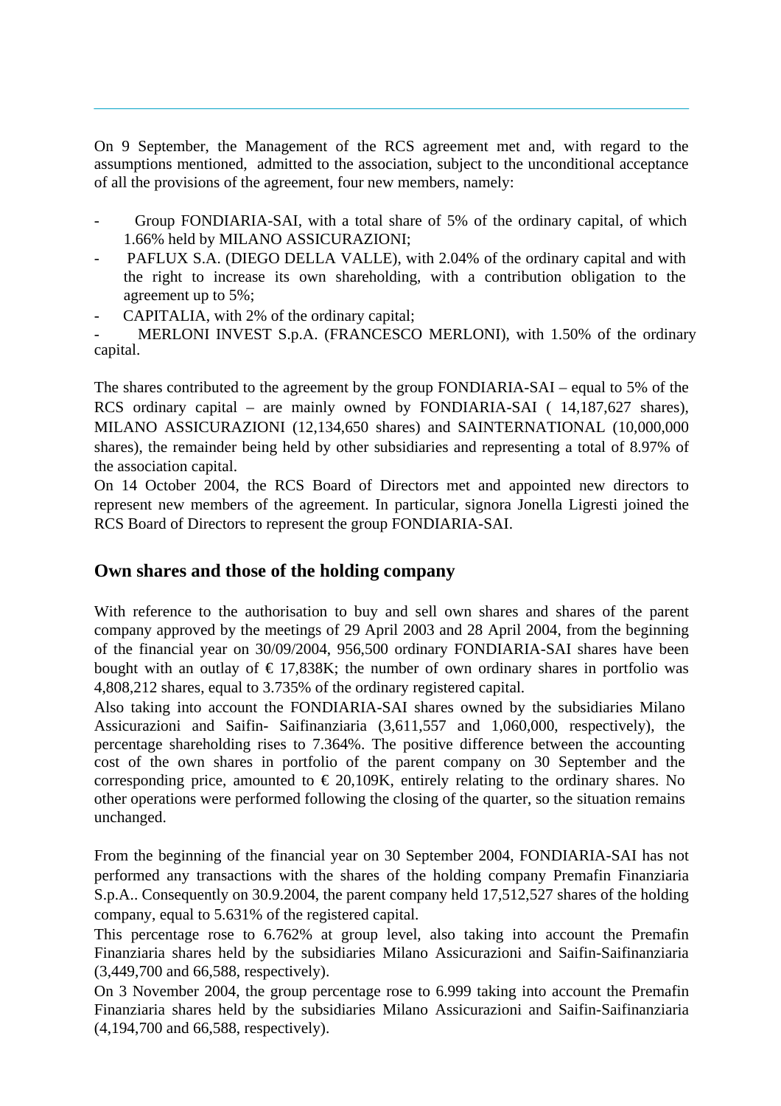On 9 September, the Management of the RCS agreement met and, with regard to the assumptions mentioned, admitted to the association, subject to the unconditional acceptance of all the provisions of the agreement, four new members, namely:

- Group FONDIARIA-SAI, with a total share of 5% of the ordinary capital, of which 1.66% held by MILANO ASSICURAZIONI;
- PAFLUX S.A. (DIEGO DELLA VALLE), with 2.04% of the ordinary capital and with the right to increase its own shareholding, with a contribution obligation to the agreement up to 5%;
- CAPITALIA, with 2% of the ordinary capital;

MERLONI INVEST S.p.A. (FRANCESCO MERLONI), with 1.50% of the ordinary capital.

The shares contributed to the agreement by the group FONDIARIA-SAI – equal to 5% of the RCS ordinary capital – are mainly owned by FONDIARIA-SAI ( 14,187,627 shares), MILANO ASSICURAZIONI (12,134,650 shares) and SAINTERNATIONAL (10,000,000 shares), the remainder being held by other subsidiaries and representing a total of 8.97% of the association capital.

On 14 October 2004, the RCS Board of Directors met and appointed new directors to represent new members of the agreement. In particular, signora Jonella Ligresti joined the RCS Board of Directors to represent the group FONDIARIA-SAI.

#### **Own shares and those of the holding company**

With reference to the authorisation to buy and sell own shares and shares of the parent company approved by the meetings of 29 April 2003 and 28 April 2004, from the beginning of the financial year on 30/09/2004, 956,500 ordinary FONDIARIA-SAI shares have been bought with an outlay of  $\epsilon$  17,838K; the number of own ordinary shares in portfolio was 4,808,212 shares, equal to 3.735% of the ordinary registered capital.

Also taking into account the FONDIARIA-SAI shares owned by the subsidiaries Milano Assicurazioni and Saifin- Saifinanziaria (3,611,557 and 1,060,000, respectively), the percentage shareholding rises to 7.364%. The positive difference between the accounting cost of the own shares in portfolio of the parent company on 30 September and the corresponding price, amounted to  $\in 20,109K$ , entirely relating to the ordinary shares. No other operations were performed following the closing of the quarter, so the situation remains unchanged.

From the beginning of the financial year on 30 September 2004, FONDIARIA-SAI has not performed any transactions with the shares of the holding company Premafin Finanziaria S.p.A.. Consequently on 30.9.2004, the parent company held 17,512,527 shares of the holding company, equal to 5.631% of the registered capital.

This percentage rose to 6.762% at group level, also taking into account the Premafin Finanziaria shares held by the subsidiaries Milano Assicurazioni and Saifin-Saifinanziaria (3,449,700 and 66,588, respectively).

On 3 November 2004, the group percentage rose to 6.999 taking into account the Premafin Finanziaria shares held by the subsidiaries Milano Assicurazioni and Saifin-Saifinanziaria (4,194,700 and 66,588, respectively).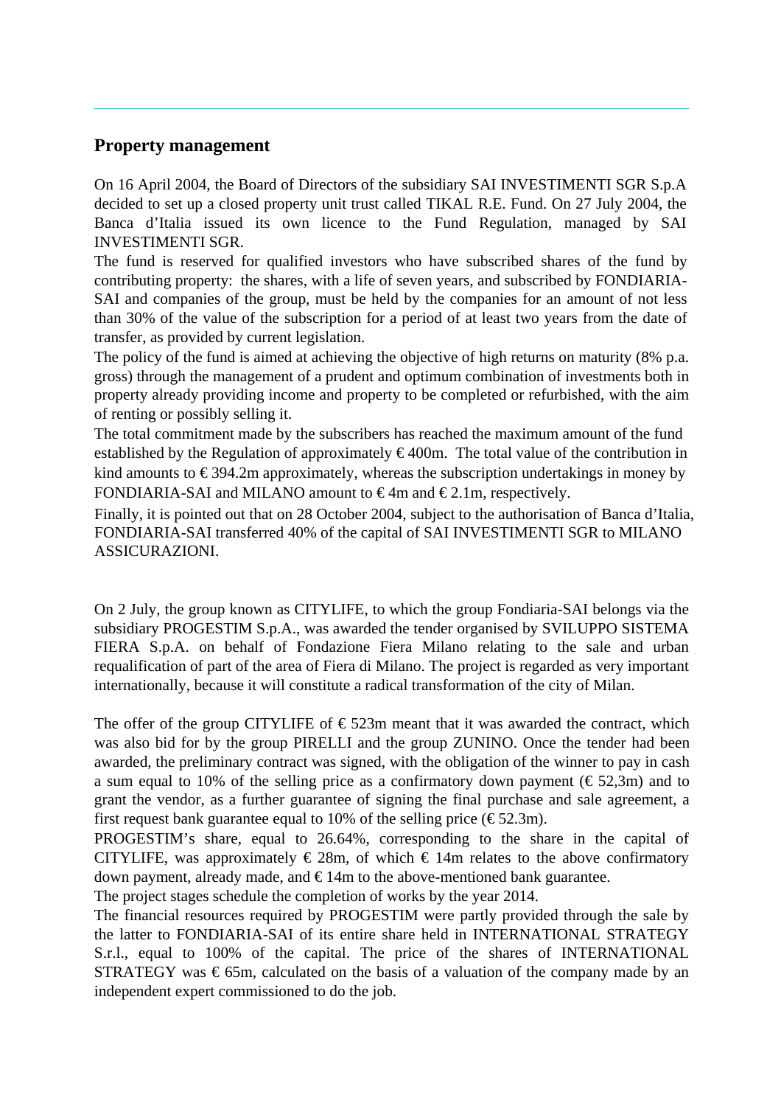#### **Property management**

On 16 April 2004, the Board of Directors of the subsidiary SAI INVESTIMENTI SGR S.p.A decided to set up a closed property unit trust called TIKAL R.E. Fund. On 27 July 2004, the Banca d'Italia issued its own licence to the Fund Regulation, managed by SAI INVESTIMENTI SGR.

The fund is reserved for qualified investors who have subscribed shares of the fund by contributing property: the shares, with a life of seven years, and subscribed by FONDIARIA-SAI and companies of the group, must be held by the companies for an amount of not less than 30% of the value of the subscription for a period of at least two years from the date of transfer, as provided by current legislation.

The policy of the fund is aimed at achieving the objective of high returns on maturity (8% p.a. gross) through the management of a prudent and optimum combination of investments both in property already providing income and property to be completed or refurbished, with the aim of renting or possibly selling it.

The total commitment made by the subscribers has reached the maximum amount of the fund established by the Regulation of approximately  $\epsilon$ 400m. The total value of the contribution in kind amounts to  $\epsilon$ 394.2m approximately, whereas the subscription undertakings in money by FONDIARIA-SAI and MILANO amount to  $\epsilon$ 4m and  $\epsilon$ 2.1m, respectively.

Finally, it is pointed out that on 28 October 2004, subject to the authorisation of Banca d'Italia, FONDIARIA-SAI transferred 40% of the capital of SAI INVESTIMENTI SGR to MILANO ASSICURAZIONI.

On 2 July, the group known as CITYLIFE, to which the group Fondiaria-SAI belongs via the subsidiary PROGESTIM S.p.A., was awarded the tender organised by SVILUPPO SISTEMA FIERA S.p.A. on behalf of Fondazione Fiera Milano relating to the sale and urban requalification of part of the area of Fiera di Milano. The project is regarded as very important internationally, because it will constitute a radical transformation of the city of Milan.

The offer of the group CITYLIFE of  $\epsilon$ 523m meant that it was awarded the contract, which was also bid for by the group PIRELLI and the group ZUNINO. Once the tender had been awarded, the preliminary contract was signed, with the obligation of the winner to pay in cash a sum equal to 10% of the selling price as a confirmatory down payment ( $\epsilon$ 52,3m) and to grant the vendor, as a further guarantee of signing the final purchase and sale agreement, a first request bank guarantee equal to 10% of the selling price ( $\epsilon$ 52.3m).

PROGESTIM's share, equal to 26.64%, corresponding to the share in the capital of CITYLIFE, was approximately  $\epsilon$  28m, of which  $\epsilon$  14m relates to the above confirmatory down payment, already made, and  $\epsilon$ 14m to the above-mentioned bank guarantee.

The project stages schedule the completion of works by the year 2014.

The financial resources required by PROGESTIM were partly provided through the sale by the latter to FONDIARIA-SAI of its entire share held in INTERNATIONAL STRATEGY S.r.l., equal to 100% of the capital. The price of the shares of INTERNATIONAL STRATEGY was  $\epsilon$ 65m, calculated on the basis of a valuation of the company made by an independent expert commissioned to do the job.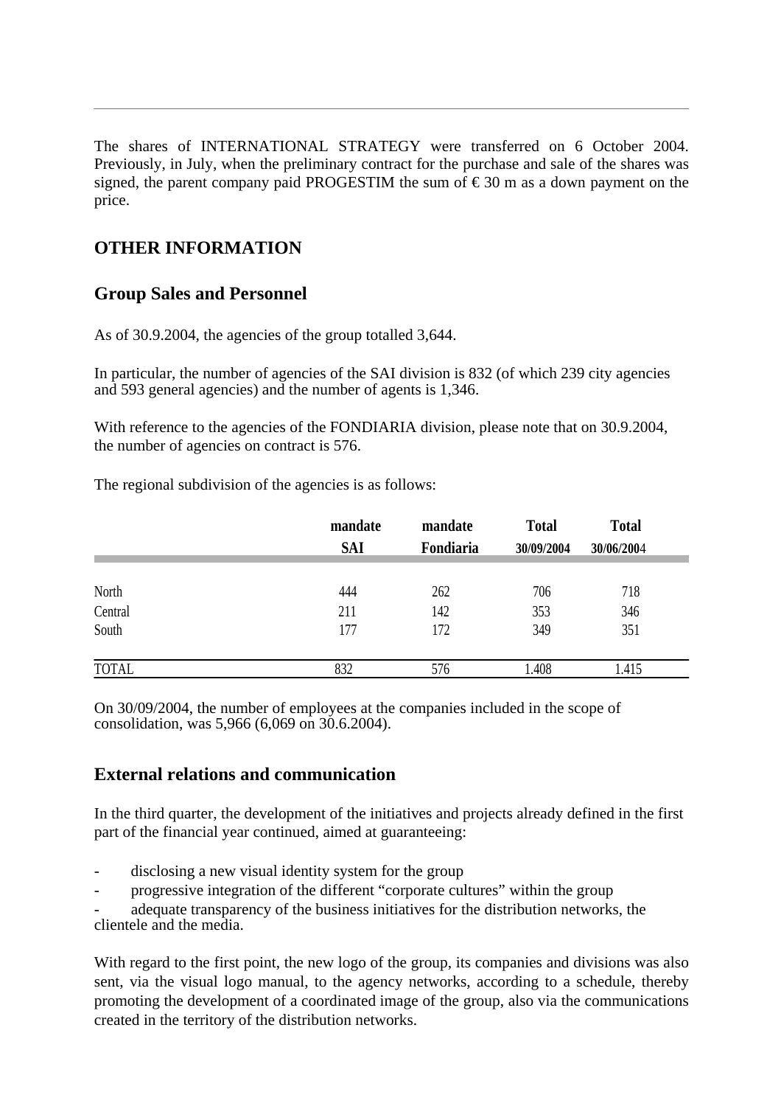The shares of INTERNATIONAL STRATEGY were transferred on 6 October 2004. Previously, in July, when the preliminary contract for the purchase and sale of the shares was signed, the parent company paid PROGESTIM the sum of  $\epsilon$ 30 m as a down payment on the price.

# **OTHER INFORMATION**

# **Group Sales and Personnel**

As of 30.9.2004, the agencies of the group totalled 3,644.

In particular, the number of agencies of the SAI division is 832 (of which 239 city agencies and 593 general agencies) and the number of agents is 1,346.

With reference to the agencies of the FONDIARIA division, please note that on 30.9.2004, the number of agencies on contract is 576.

The regional subdivision of the agencies is as follows:

|              | mandate<br><b>SAI</b> | mandate<br>Fondiaria | <b>Total</b><br>30/09/2004 | <b>Total</b><br>30/06/2004 |  |
|--------------|-----------------------|----------------------|----------------------------|----------------------------|--|
|              |                       |                      |                            |                            |  |
| North        | 444                   | 262                  | 706                        | 718                        |  |
| Central      | 211                   | 142                  | 353                        | 346                        |  |
| South        | 177                   | 172                  | 349                        | 351                        |  |
| <b>TOTAL</b> | 832                   | 576                  | 1.408                      | 1.415                      |  |

On 30/09/2004, the number of employees at the companies included in the scope of consolidation, was 5,966 (6,069 on 30.6.2004).

# **External relations and communication**

In the third quarter, the development of the initiatives and projects already defined in the first part of the financial year continued, aimed at guaranteeing:

- disclosing a new visual identity system for the group
- progressive integration of the different "corporate cultures" within the group

adequate transparency of the business initiatives for the distribution networks, the clientele and the media.

With regard to the first point, the new logo of the group, its companies and divisions was also sent, via the visual logo manual, to the agency networks, according to a schedule, thereby promoting the development of a coordinated image of the group, also via the communications created in the territory of the distribution networks.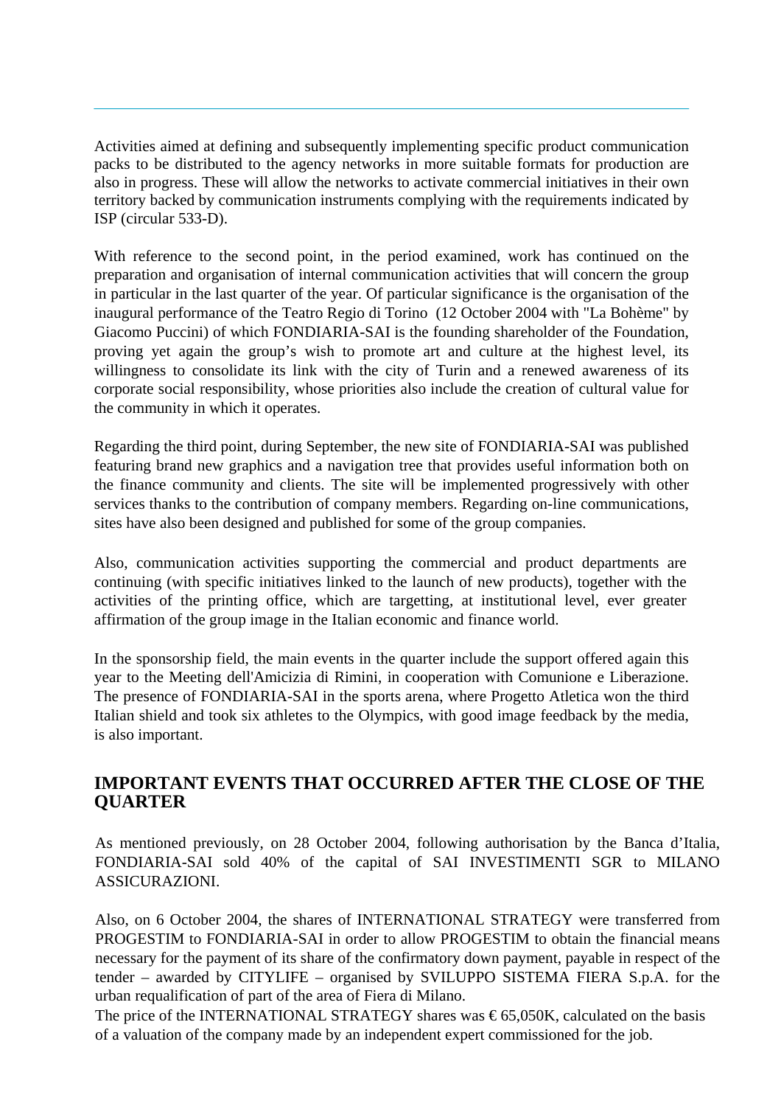Activities aimed at defining and subsequently implementing specific product communication packs to be distributed to the agency networks in more suitable formats for production are also in progress. These will allow the networks to activate commercial initiatives in their own territory backed by communication instruments complying with the requirements indicated by ISP (circular 533-D).

With reference to the second point, in the period examined, work has continued on the preparation and organisation of internal communication activities that will concern the group in particular in the last quarter of the year. Of particular significance is the organisation of the inaugural performance of the Teatro Regio di Torino (12 October 2004 with "La Bohème" by Giacomo Puccini) of which FONDIARIA-SAI is the founding shareholder of the Foundation, proving yet again the group's wish to promote art and culture at the highest level, its willingness to consolidate its link with the city of Turin and a renewed awareness of its corporate social responsibility, whose priorities also include the creation of cultural value for the community in which it operates.

Regarding the third point, during September, the new site of FONDIARIA-SAI was published featuring brand new graphics and a navigation tree that provides useful information both on the finance community and clients. The site will be implemented progressively with other services thanks to the contribution of company members. Regarding on-line communications, sites have also been designed and published for some of the group companies.

Also, communication activities supporting the commercial and product departments are continuing (with specific initiatives linked to the launch of new products), together with the activities of the printing office, which are targetting, at institutional level, ever greater affirmation of the group image in the Italian economic and finance world.

In the sponsorship field, the main events in the quarter include the support offered again this year to the Meeting dell'Amicizia di Rimini, in cooperation with Comunione e Liberazione. The presence of FONDIARIA-SAI in the sports arena, where Progetto Atletica won the third Italian shield and took six athletes to the Olympics, with good image feedback by the media, is also important.

# **IMPORTANT EVENTS THAT OCCURRED AFTER THE CLOSE OF THE QUARTER**

As mentioned previously, on 28 October 2004, following authorisation by the Banca d'Italia, FONDIARIA-SAI sold 40% of the capital of SAI INVESTIMENTI SGR to MILANO ASSICURAZIONI.

Also, on 6 October 2004, the shares of INTERNATIONAL STRATEGY were transferred from PROGESTIM to FONDIARIA-SAI in order to allow PROGESTIM to obtain the financial means necessary for the payment of its share of the confirmatory down payment, payable in respect of the tender – awarded by CITYLIFE – organised by SVILUPPO SISTEMA FIERA S.p.A. for the urban requalification of part of the area of Fiera di Milano.

The price of the INTERNATIONAL STRATEGY shares was  $\epsilon$ 65,050K, calculated on the basis of a valuation of the company made by an independent expert commissioned for the job.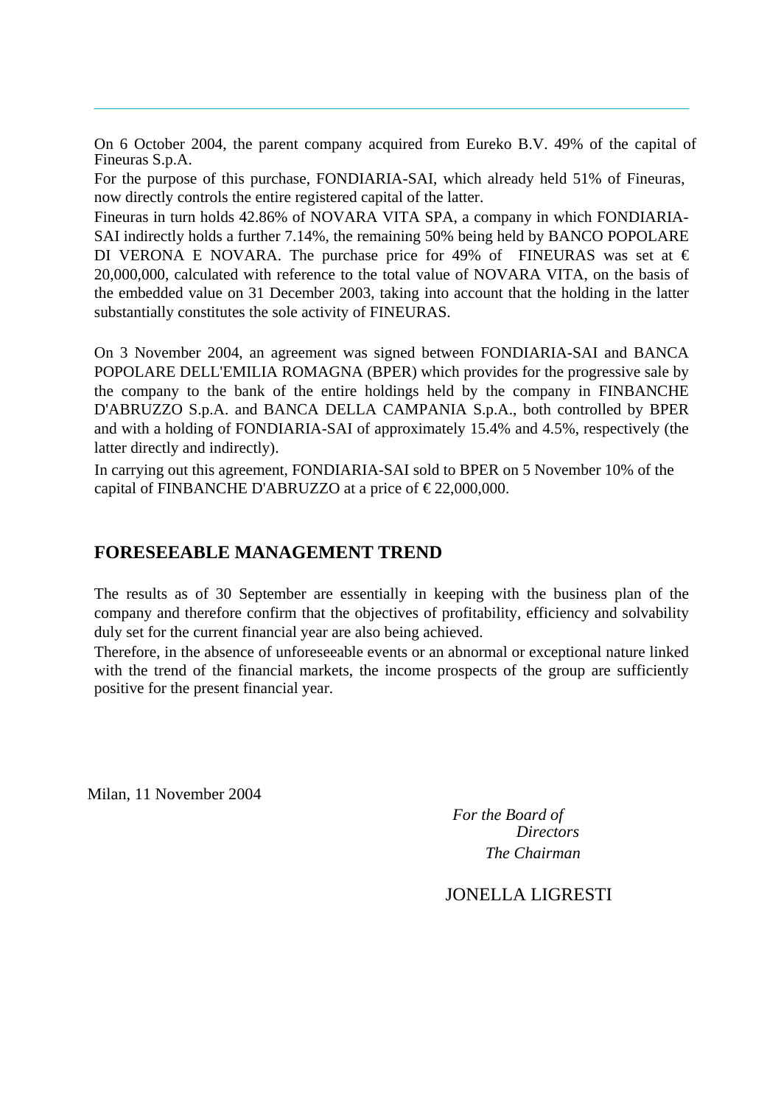On 6 October 2004, the parent company acquired from Eureko B.V. 49% of the capital of Fineuras S.p.A.

For the purpose of this purchase, FONDIARIA-SAI, which already held 51% of Fineuras, now directly controls the entire registered capital of the latter.

Fineuras in turn holds 42.86% of NOVARA VITA SPA, a company in which FONDIARIA-SAI indirectly holds a further 7.14%, the remaining 50% being held by BANCO POPOLARE DI VERONA E NOVARA. The purchase price for 49% of FINEURAS was set at  $\epsilon$ 20,000,000, calculated with reference to the total value of NOVARA VITA, on the basis of the embedded value on 31 December 2003, taking into account that the holding in the latter substantially constitutes the sole activity of FINEURAS.

On 3 November 2004, an agreement was signed between FONDIARIA-SAI and BANCA POPOLARE DELL'EMILIA ROMAGNA (BPER) which provides for the progressive sale by the company to the bank of the entire holdings held by the company in FINBANCHE D'ABRUZZO S.p.A. and BANCA DELLA CAMPANIA S.p.A., both controlled by BPER and with a holding of FONDIARIA-SAI of approximately 15.4% and 4.5%, respectively (the latter directly and indirectly).

In carrying out this agreement, FONDIARIA-SAI sold to BPER on 5 November 10% of the capital of FINBANCHE D'ABRUZZO at a price of  $\epsilon$ 22,000,000.

### **FORESEEABLE MANAGEMENT TREND**

The results as of 30 September are essentially in keeping with the business plan of the company and therefore confirm that the objectives of profitability, efficiency and solvability duly set for the current financial year are also being achieved.

Therefore, in the absence of unforeseeable events or an abnormal or exceptional nature linked with the trend of the financial markets, the income prospects of the group are sufficiently positive for the present financial year.

Milan, 11 November 2004

*For the Board of Directors The Chairman*

# JONELLA LIGRESTI